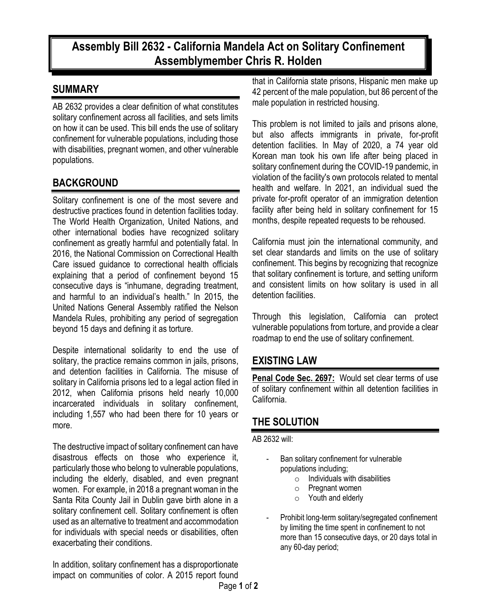# **Assembly Bill 2632 - California Mandela Act on Solitary Confinement Assemblymember Chris R. Holden**

#### **SUMMARY**

AB 2632 provides a clear definition of what constitutes solitary confinement across all facilities, and sets limits on how it can be used. This bill ends the use of solitary confinement for vulnerable populations, including those with disabilities, pregnant women, and other vulnerable populations.

## **BACKGROUND**

Solitary confinement is one of the most severe and destructive practices found in detention facilities today. The World Health Organization, United Nations, and other international bodies have recognized solitary confinement as greatly harmful and potentially fatal. In 2016, the National Commission on Correctional Health Care issued guidance to correctional health officials explaining that a period of confinement beyond 15 consecutive days is "inhumane, degrading treatment, and harmful to an individual's health." In 2015, the United Nations General Assembly ratified the Nelson Mandela Rules, prohibiting any period of segregation beyond 15 days and defining it as torture.

Despite international solidarity to end the use of solitary, the practice remains common in jails, prisons, and detention facilities in California. The misuse of solitary in California prisons led to a legal action filed in 2012, when California prisons held nearly 10,000 incarcerated individuals in solitary confinement, including 1,557 who had been there for 10 years or more.

The destructive impact of solitary confinement can have disastrous effects on those who experience it, particularly those who belong to vulnerable populations, including the elderly, disabled, and even pregnant women. For example, in 2018 a pregnant woman in the Santa Rita County Jail in Dublin gave birth alone in a solitary confinement cell. Solitary confinement is often used as an alternative to treatment and accommodation for individuals with special needs or disabilities, often exacerbating their conditions.

In addition, solitary confinement has a disproportionate impact on communities of color. A 2015 report found

that in California state prisons, Hispanic men make up 42 percent of the male population, but 86 percent of the male population in restricted housing.

This problem is not limited to jails and prisons alone, but also affects immigrants in private, for-profit detention facilities. In May of 2020, a 74 year old Korean man took his own life after being placed in solitary confinement during the COVID-19 pandemic, in violation of the facility's own protocols related to mental health and welfare. In 2021, an individual sued the private for-profit operator of an immigration detention facility after being held in solitary confinement for 15 months, despite repeated requests to be rehoused.

California must join the international community, and set clear standards and limits on the use of solitary confinement. This begins by recognizing that recognize that solitary confinement is torture, and setting uniform and consistent limits on how solitary is used in all detention facilities.

Through this legislation, California can protect vulnerable populations from torture, and provide a clear roadmap to end the use of solitary confinement.

### **EXISTING LAW**

**Penal Code Sec. 2697:** Would set clear terms of use of solitary confinement within all detention facilities in California.

### **THE SOLUTION**

AB 2632 will:

- Ban solitary confinement for vulnerable populations including;
	- $\circ$  Individuals with disabilities
	- o Pregnant women
	- o Youth and elderly
- Prohibit long-term solitary/segregated confinement by limiting the time spent in confinement to not more than 15 consecutive days, or 20 days total in any 60-day period;